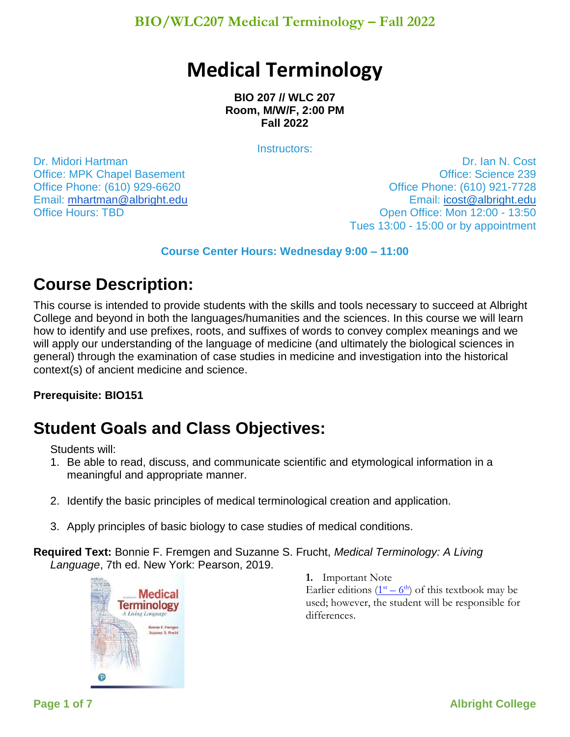**BIO/WLC207 Medical Terminology – Fall 2022**

# **Medical Terminology**

**BIO 207 // WLC 207 Room, M/W/F, 2:00 PM Fall 2022**

Instructors:

Dr. Midori Hartman Office: MPK Chapel Basement Office Phone: (610) 929-6620 Email: [mhartman@albright.edu](mailto:mhartman@albright.edu) **Office Hours: TBD** 

Dr. Ian N. Cost Office: Science 239 Office Phone: (610) 921-7728 Email: [icost@albright.edu](mailto:icost@albright.edu) Open Office: Mon 12:00 - 13:50 Tues 13:00 - 15:00 or by appointment

#### **Course Center Hours: Wednesday 9:00 – 11:00**

## **Course Description:**

This course is intended to provide students with the skills and tools necessary to succeed at Albright College and beyond in both the languages/humanities and the sciences. In this course we will learn how to identify and use prefixes, roots, and suffixes of words to convey complex meanings and we will apply our understanding of the language of medicine (and ultimately the biological sciences in general) through the examination of case studies in medicine and investigation into the historical context(s) of ancient medicine and science.

#### **Prerequisite: BIO151**

# **Student Goals and Class Objectives:**

Students will:

- 1. Be able to read, discuss, and communicate scientific and etymological information in a meaningful and appropriate manner.
- 2. Identify the basic principles of medical terminological creation and application.
- 3. Apply principles of basic biology to case studies of medical conditions.
- **Required Text:** Bonnie F. Fremgen and Suzanne S. Frucht, *Medical Terminology: A Living Language*, 7th ed. New York: Pearson, 2019.



**1.** Important Note Earlier editions  $(1<sup>st</sup> - 6<sup>th</sup>)$  $(1<sup>st</sup> - 6<sup>th</sup>)$  of this textbook may be used; however, the student will be responsible for differences.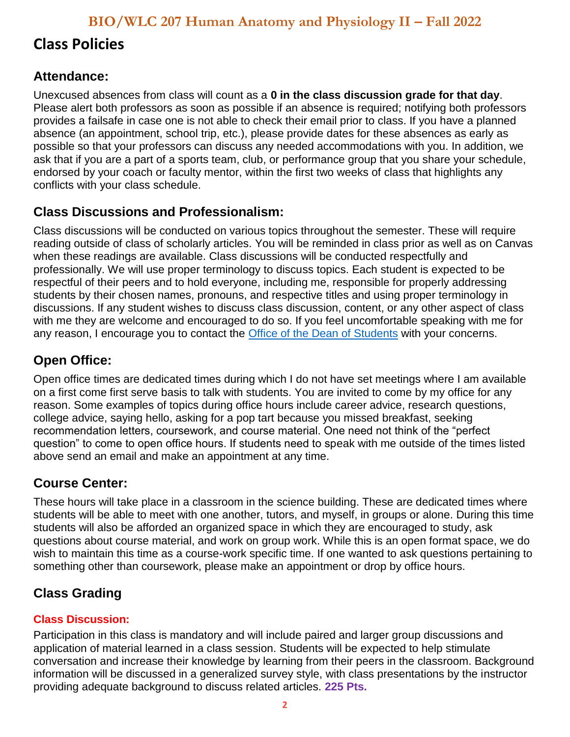# **Class Policies**

### **Attendance:**

Unexcused absences from class will count as a **0 in the class discussion grade for that day**. Please alert both professors as soon as possible if an absence is required; notifying both professors provides a failsafe in case one is not able to check their email prior to class. If you have a planned absence (an appointment, school trip, etc.), please provide dates for these absences as early as possible so that your professors can discuss any needed accommodations with you. In addition, we ask that if you are a part of a sports team, club, or performance group that you share your schedule, endorsed by your coach or faculty mentor, within the first two weeks of class that highlights any conflicts with your class schedule.

### **Class Discussions and Professionalism:**

Class discussions will be conducted on various topics throughout the semester. These will require reading outside of class of scholarly articles. You will be reminded in class prior as well as on Canvas when these readings are available. Class discussions will be conducted respectfully and professionally. We will use proper terminology to discuss topics. Each student is expected to be respectful of their peers and to hold everyone, including me, responsible for properly addressing students by their chosen names, pronouns, and respective titles and using proper terminology in discussions. If any student wishes to discuss class discussion, content, or any other aspect of class with me they are welcome and encouraged to do so. If you feel uncomfortable speaking with me for any reason, I encourage you to contact the [Office of the Dean of Students](https://www.albright.edu/student-life/dean-of-students/) with your concerns.

### **Open Office:**

Open office times are dedicated times during which I do not have set meetings where I am available on a first come first serve basis to talk with students. You are invited to come by my office for any reason. Some examples of topics during office hours include career advice, research questions, college advice, saying hello, asking for a pop tart because you missed breakfast, seeking recommendation letters, coursework, and course material. One need not think of the "perfect question" to come to open office hours. If students need to speak with me outside of the times listed above send an email and make an appointment at any time.

### **Course Center:**

These hours will take place in a classroom in the science building. These are dedicated times where students will be able to meet with one another, tutors, and myself, in groups or alone. During this time students will also be afforded an organized space in which they are encouraged to study, ask questions about course material, and work on group work. While this is an open format space, we do wish to maintain this time as a course-work specific time. If one wanted to ask questions pertaining to something other than coursework, please make an appointment or drop by office hours.

### **Class Grading**

### **Class Discussion:**

Participation in this class is mandatory and will include paired and larger group discussions and application of material learned in a class session. Students will be expected to help stimulate conversation and increase their knowledge by learning from their peers in the classroom. Background information will be discussed in a generalized survey style, with class presentations by the instructor providing adequate background to discuss related articles. **225 Pts.**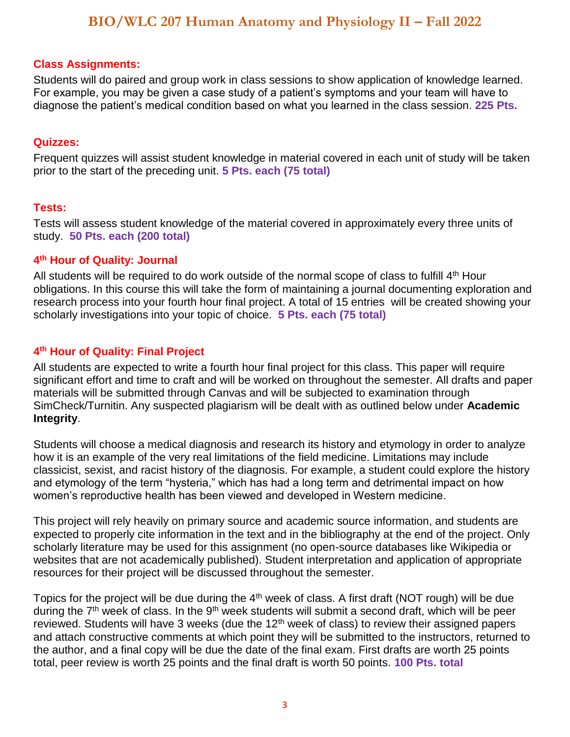#### **Class Assignments:**

Students will do paired and group work in class sessions to show application of knowledge learned. For example, you may be given a case study of a patient's symptoms and your team will have to diagnose the patient's medical condition based on what you learned in the class session. **225 Pts.**

#### **Quizzes:**

Frequent quizzes will assist student knowledge in material covered in each unit of study will be taken prior to the start of the preceding unit. **5 Pts. each (75 total)**

#### **Tests:**

Tests will assess student knowledge of the material covered in approximately every three units of study. **50 Pts. each (200 total)**

#### **4 th Hour of Quality: Journal**

All students will be required to do work outside of the normal scope of class to fulfill  $4<sup>th</sup>$  Hour obligations. In this course this will take the form of maintaining a journal documenting exploration and research process into your fourth hour final project. A total of 15 entries will be created showing your scholarly investigations into your topic of choice. **5 Pts. each (75 total)**

#### **4 th Hour of Quality: Final Project**

All students are expected to write a fourth hour final project for this class. This paper will require significant effort and time to craft and will be worked on throughout the semester. All drafts and paper materials will be submitted through Canvas and will be subjected to examination through SimCheck/Turnitin. Any suspected plagiarism will be dealt with as outlined below under **Academic Integrity**.

Students will choose a medical diagnosis and research its history and etymology in order to analyze how it is an example of the very real limitations of the field medicine. Limitations may include classicist, sexist, and racist history of the diagnosis. For example, a student could explore the history and etymology of the term "hysteria," which has had a long term and detrimental impact on how women's reproductive health has been viewed and developed in Western medicine.

This project will rely heavily on primary source and academic source information, and students are expected to properly cite information in the text and in the bibliography at the end of the project. Only scholarly literature may be used for this assignment (no open-source databases like Wikipedia or websites that are not academically published). Student interpretation and application of appropriate resources for their project will be discussed throughout the semester.

Topics for the project will be due during the 4<sup>th</sup> week of class. A first draft (NOT rough) will be due during the  $7<sup>th</sup>$  week of class. In the  $9<sup>th</sup>$  week students will submit a second draft, which will be peer reviewed. Students will have 3 weeks (due the  $12<sup>th</sup>$  week of class) to review their assigned papers and attach constructive comments at which point they will be submitted to the instructors, returned to the author, and a final copy will be due the date of the final exam. First drafts are worth 25 points total, peer review is worth 25 points and the final draft is worth 50 points. **100 Pts. total**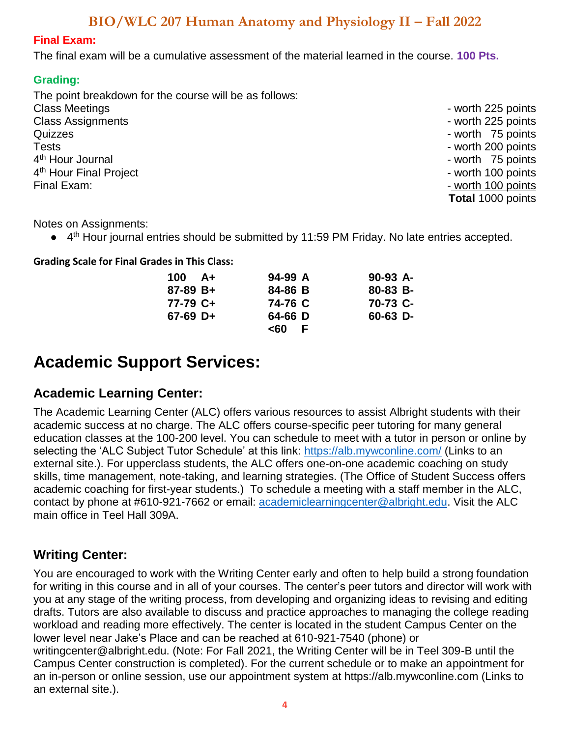#### **Final Exam:**

The final exam will be a cumulative assessment of the material learned in the course. **100 Pts.**

#### **Grading:**

The point breakdown for the course will be as follows: Class Meetings - worth 225 points - worth 225 points - worth 225 points - worth 225 points Class Assignments - worth 225 points - worth 225 points - worth 225 points Quizzes - worth 75 points Tests **- worth 200 points** 4<sup>th</sup> Hour Journal  $4^{\text{th}}$  Hour Final Project extended to the set of the set of the set of the set of the set of the set of the set of the set of the set of the set of the set of the set of the set of the set of the set of the set of the s Final Exam:  $\blacksquare$ 

- worth 75 points **Total** 1000 points

Notes on Assignments:

● 4<sup>th</sup> Hour journal entries should be submitted by 11:59 PM Friday. No late entries accepted.

**Grading Scale for Final Grades in This Class:**

| $100 \, A+$ | $94-99A$  | $90-93$ A- |
|-------------|-----------|------------|
| $87-89 B+$  | 84-86 B   | 80-83 B-   |
| 77-79 C+    | 74-76 C   | 70-73 C-   |
| $67-69$ D+  | 64-66 D   | $60-63$ D- |
|             | <60<br>F. |            |

# **Academic Support Services:**

### **Academic Learning Center:**

The Academic Learning Center (ALC) offers various resources to assist Albright students with their academic success at no charge. The ALC offers course-specific peer tutoring for many general education classes at the 100-200 level. You can schedule to meet with a tutor in person or online by selecting the 'ALC Subject Tutor Schedule' at this link:<https://alb.mywconline.com/> (Links to an external site.). For upperclass students, the ALC offers one-on-one academic coaching on study skills, time management, note-taking, and learning strategies. (The Office of Student Success offers academic coaching for first-year students.) To schedule a meeting with a staff member in the ALC, contact by phone at #610-921-7662 or email: [academiclearningcenter@albright.edu.](about:blank) Visit the ALC main office in Teel Hall 309A.

### **Writing Center:**

You are encouraged to work with the Writing Center early and often to help build a strong foundation for writing in this course and in all of your courses. The center's peer tutors and director will work with you at any stage of the writing process, from developing and organizing ideas to revising and editing drafts. Tutors are also available to discuss and practice approaches to managing the college reading workload and reading more effectively. The center is located in the student Campus Center on the lower level near Jake's Place and can be reached at 610-921-7540 (phone) or writingcenter@albright.edu. (Note: For Fall 2021, the Writing Center will be in Teel 309-B until the Campus Center construction is completed). For the current schedule or to make an appointment for an in-person or online session, use our appointment system at https://alb.mywconline.com (Links to an external site.).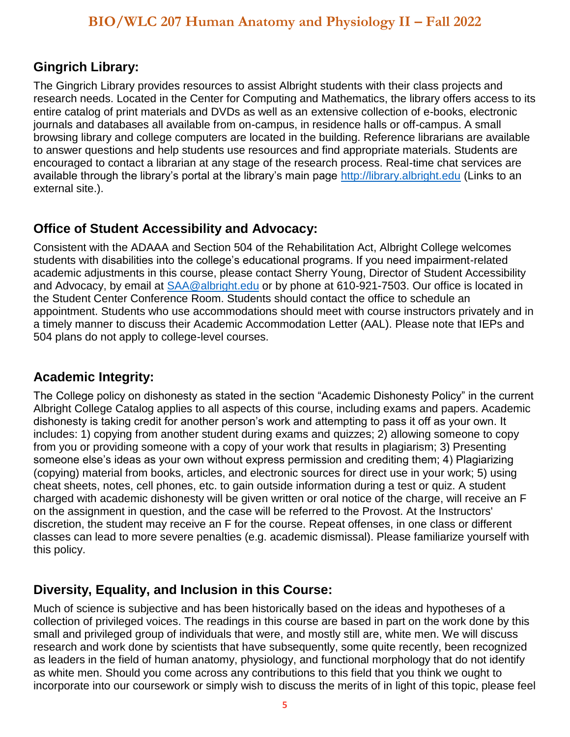### **Gingrich Library:**

The Gingrich Library provides resources to assist Albright students with their class projects and research needs. Located in the Center for Computing and Mathematics, the library offers access to its entire catalog of print materials and DVDs as well as an extensive collection of e-books, electronic journals and databases all available from on-campus, in residence halls or off-campus. A small browsing library and college computers are located in the building. Reference librarians are available to answer questions and help students use resources and find appropriate materials. Students are encouraged to contact a librarian at any stage of the research process. Real-time chat services are available through the library's portal at the library's main page [http://library.albright.edu](http://library.albright.edu/) (Links to an external site.).

### **Office of Student Accessibility and Advocacy:**

Consistent with the ADAAA and Section 504 of the Rehabilitation Act, Albright College welcomes students with disabilities into the college's educational programs. If you need impairment-related academic adjustments in this course, please contact Sherry Young, Director of Student Accessibility and Advocacy, by email at  $SAA@albright.edu$  or by phone at 610-921-7503. Our office is located in the Student Center Conference Room. Students should contact the office to schedule an appointment. Students who use accommodations should meet with course instructors privately and in a timely manner to discuss their Academic Accommodation Letter (AAL). Please note that IEPs and 504 plans do not apply to college-level courses.

### **Academic Integrity:**

The College policy on dishonesty as stated in the section "Academic Dishonesty Policy" in the current Albright College Catalog applies to all aspects of this course, including exams and papers. Academic dishonesty is taking credit for another person's work and attempting to pass it off as your own. It includes: 1) copying from another student during exams and quizzes; 2) allowing someone to copy from you or providing someone with a copy of your work that results in plagiarism; 3) Presenting someone else's ideas as your own without express permission and crediting them; 4) Plagiarizing (copying) material from books, articles, and electronic sources for direct use in your work; 5) using cheat sheets, notes, cell phones, etc. to gain outside information during a test or quiz. A student charged with academic dishonesty will be given written or oral notice of the charge, will receive an F on the assignment in question, and the case will be referred to the Provost. At the Instructors' discretion, the student may receive an F for the course. Repeat offenses, in one class or different classes can lead to more severe penalties (e.g. academic dismissal). Please familiarize yourself with this policy.

### **Diversity, Equality, and Inclusion in this Course:**

Much of science is subjective and has been historically based on the ideas and hypotheses of a collection of privileged voices. The readings in this course are based in part on the work done by this small and privileged group of individuals that were, and mostly still are, white men. We will discuss research and work done by scientists that have subsequently, some quite recently, been recognized as leaders in the field of human anatomy, physiology, and functional morphology that do not identify as white men. Should you come across any contributions to this field that you think we ought to incorporate into our coursework or simply wish to discuss the merits of in light of this topic, please feel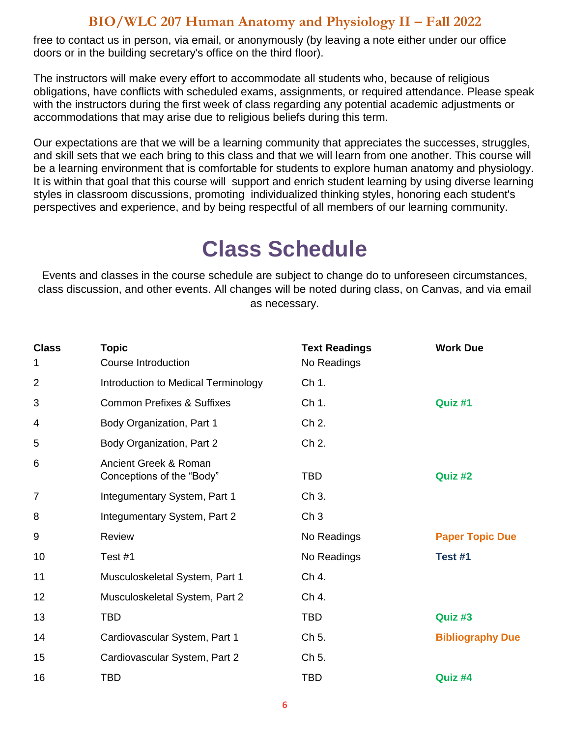free to contact us in person, via email, or anonymously (by leaving a note either under our office doors or in the building secretary's office on the third floor).

The instructors will make every effort to accommodate all students who, because of religious obligations, have conflicts with scheduled exams, assignments, or required attendance. Please speak with the instructors during the first week of class regarding any potential academic adjustments or accommodations that may arise due to religious beliefs during this term.

Our expectations are that we will be a learning community that appreciates the successes, struggles, and skill sets that we each bring to this class and that we will learn from one another. This course will be a learning environment that is comfortable for students to explore human anatomy and physiology. It is within that goal that this course will support and enrich student learning by using diverse learning styles in classroom discussions, promoting individualized thinking styles, honoring each student's perspectives and experience, and by being respectful of all members of our learning community.

# **Class Schedule**

Events and classes in the course schedule are subject to change do to unforeseen circumstances, class discussion, and other events. All changes will be noted during class, on Canvas, and via email as necessary.

| <b>Class</b><br>1 | <b>Topic</b><br>Course Introduction                | <b>Text Readings</b><br>No Readings | <b>Work Due</b>         |
|-------------------|----------------------------------------------------|-------------------------------------|-------------------------|
| $\overline{2}$    | Introduction to Medical Terminology                | Ch 1.                               |                         |
| 3                 | <b>Common Prefixes &amp; Suffixes</b>              | Ch 1.                               | Quiz #1                 |
| 4                 | Body Organization, Part 1                          | Ch 2.                               |                         |
| 5                 | Body Organization, Part 2                          | Ch 2.                               |                         |
| 6                 | Ancient Greek & Roman<br>Conceptions of the "Body" | <b>TBD</b>                          | Quiz #2                 |
| 7                 | Integumentary System, Part 1                       | Ch 3.                               |                         |
| 8                 | Integumentary System, Part 2                       | Ch <sub>3</sub>                     |                         |
| 9                 | <b>Review</b>                                      | No Readings                         | <b>Paper Topic Due</b>  |
| 10                | Test #1                                            | No Readings                         | Test #1                 |
| 11                | Musculoskeletal System, Part 1                     | Ch 4.                               |                         |
| 12                | Musculoskeletal System, Part 2                     | Ch 4.                               |                         |
| 13                | <b>TBD</b>                                         | <b>TBD</b>                          | Quiz #3                 |
| 14                | Cardiovascular System, Part 1                      | Ch 5.                               | <b>Bibliography Due</b> |
| 15                | Cardiovascular System, Part 2                      | Ch 5.                               |                         |
| 16                | <b>TBD</b>                                         | <b>TBD</b>                          | Quiz #4                 |